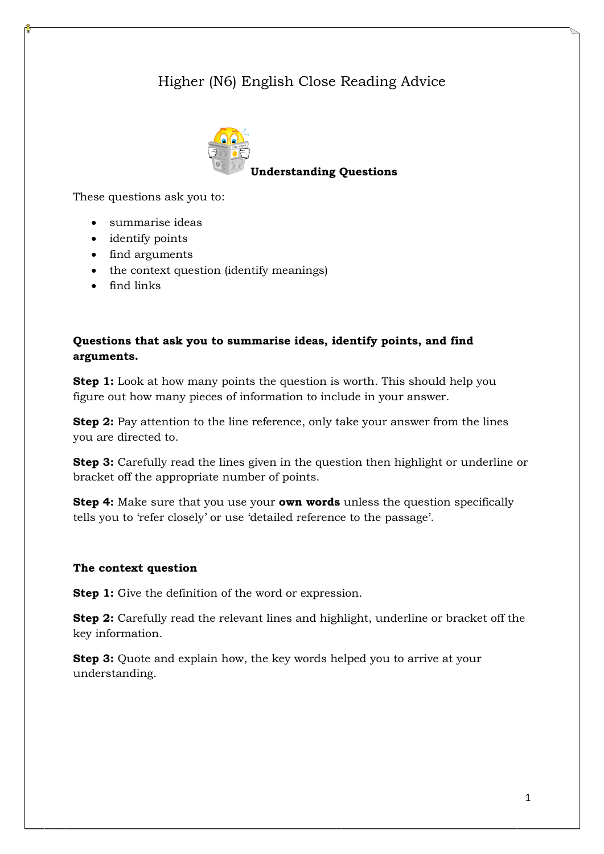# Higher (N6) English Close Reading Advice



These questions ask you to:

- summarise ideas
- identify points
- find arguments
- the context question (identify meanings)
- find links

# **Questions that ask you to summarise ideas, identify points, and find arguments.**

**Step 1:** Look at how many points the question is worth. This should help you figure out how many pieces of information to include in your answer.

**Step 2:** Pay attention to the line reference, only take your answer from the lines you are directed to.

**Step 3:** Carefully read the lines given in the question then highlight or underline or bracket off the appropriate number of points.

**Step 4:** Make sure that you use your **own words** unless the question specifically tells you to 'refer closely' or use 'detailed reference to the passage'.

## **The context question**

**Step 1:** Give the definition of the word or expression.

**Step 2:** Carefully read the relevant lines and highlight, underline or bracket off the key information.

**Step 3:** Quote and explain how, the key words helped you to arrive at your understanding.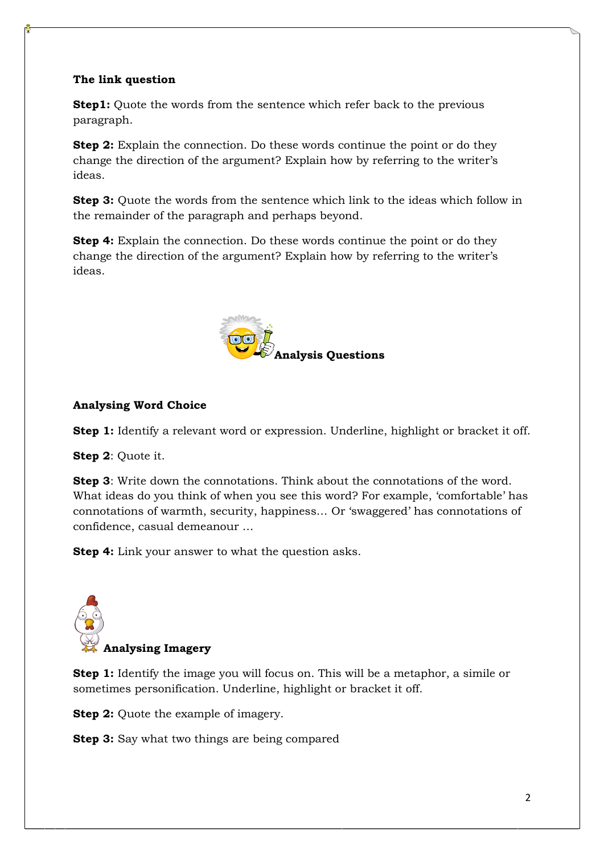# **The link question**

**Step1:** Quote the words from the sentence which refer back to the previous paragraph.

**Step 2:** Explain the connection. Do these words continue the point or do they change the direction of the argument? Explain how by referring to the writer"s ideas.

**Step 3:** Quote the words from the sentence which link to the ideas which follow in the remainder of the paragraph and perhaps beyond.

**Step 4:** Explain the connection. Do these words continue the point or do they change the direction of the argument? Explain how by referring to the writer"s ideas.



# **Analysing Word Choice**

**Step 1:** Identify a relevant word or expression. Underline, highlight or bracket it off.

**Step 2**: Quote it.

**Step 3**: Write down the connotations. Think about the connotations of the word. What ideas do you think of when you see this word? For example, "comfortable" has connotations of warmth, security, happiness… Or "swaggered" has connotations of confidence, casual demeanour …

**Step 4:** Link your answer to what the question asks.



**Step 1:** Identify the image you will focus on. This will be a metaphor, a simile or sometimes personification. Underline, highlight or bracket it off.

**Step 2:** Quote the example of imagery.

**Step 3:** Say what two things are being compared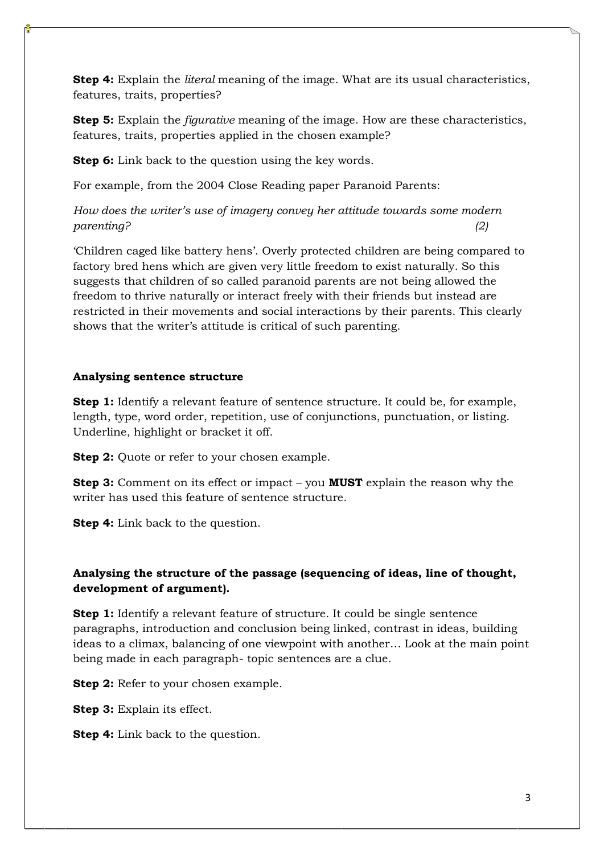**Step 4:** Explain the *literal* meaning of the image. What are its usual characteristics, features, traits, properties?

**Step 5:** Explain the *figurative* meaning of the image. How are these characteristics, features, traits, properties applied in the chosen example?

**Step 6:** Link back to the question using the key words.

For example, from the 2004 Close Reading paper Paranoid Parents:

*How does the writer's use of imagery convey her attitude towards some modern parenting? (2)* 

"Children caged like battery hens". Overly protected children are being compared to factory bred hens which are given very little freedom to exist naturally. So this suggests that children of so called paranoid parents are not being allowed the freedom to thrive naturally or interact freely with their friends but instead are restricted in their movements and social interactions by their parents. This clearly shows that the writer's attitude is critical of such parenting.

#### **Analysing sentence structure**

**Step 1:** Identify a relevant feature of sentence structure. It could be, for example, length, type, word order, repetition, use of conjunctions, punctuation, or listing. Underline, highlight or bracket it off.

**Step 2:** Quote or refer to your chosen example.

**Step 3:** Comment on its effect or impact – you **MUST** explain the reason why the writer has used this feature of sentence structure.

**Step 4:** Link back to the question.

# **Analysing the structure of the passage (sequencing of ideas, line of thought, development of argument).**

**Step 1:** Identify a relevant feature of structure. It could be single sentence paragraphs, introduction and conclusion being linked, contrast in ideas, building ideas to a climax, balancing of one viewpoint with another… Look at the main point being made in each paragraph- topic sentences are a clue.

**Step 2:** Refer to your chosen example.

**Step 3:** Explain its effect.

**Step 4:** Link back to the question.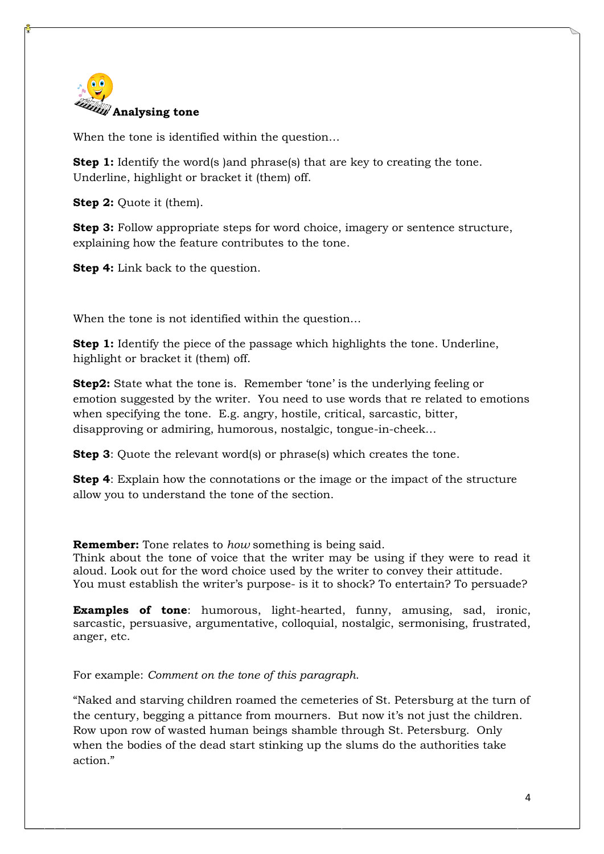

When the tone is identified within the question…

**Step 1:** Identify the word(s) and phrase(s) that are key to creating the tone. Underline, highlight or bracket it (them) off.

**Step 2:** Quote it (them).

**Step 3:** Follow appropriate steps for word choice, imagery or sentence structure, explaining how the feature contributes to the tone.

**Step 4:** Link back to the question.

When the tone is not identified within the question…

**Step 1:** Identify the piece of the passage which highlights the tone. Underline, highlight or bracket it (them) off.

**Step2:** State what the tone is. Remember 'tone' is the underlying feeling or emotion suggested by the writer. You need to use words that re related to emotions when specifying the tone. E.g. angry, hostile, critical, sarcastic, bitter, disapproving or admiring, humorous, nostalgic, tongue-in-cheek…

**Step 3**: Quote the relevant word(s) or phrase(s) which creates the tone.

**Step 4**: Explain how the connotations or the image or the impact of the structure allow you to understand the tone of the section.

**Remember:** Tone relates to *how* something is being said.

Think about the tone of voice that the writer may be using if they were to read it aloud. Look out for the word choice used by the writer to convey their attitude. You must establish the writer's purpose- is it to shock? To entertain? To persuade?

**Examples of tone**: humorous, light-hearted, funny, amusing, sad, ironic, sarcastic, persuasive, argumentative, colloquial, nostalgic, sermonising, frustrated, anger, etc.

For example: *Comment on the tone of this paragraph.*

"Naked and starving children roamed the cemeteries of St. Petersburg at the turn of the century, begging a pittance from mourners. But now it's not just the children. Row upon row of wasted human beings shamble through St. Petersburg. Only when the bodies of the dead start stinking up the slums do the authorities take action."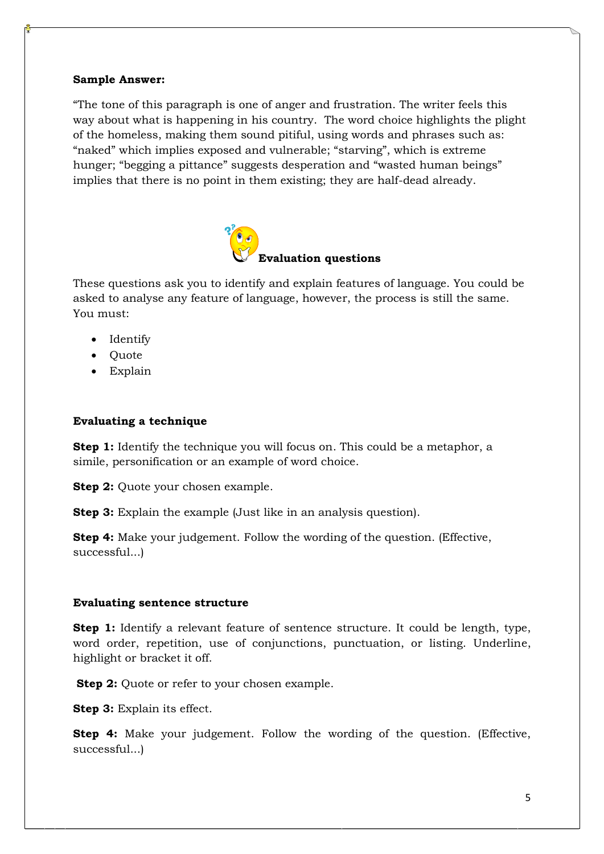#### **Sample Answer:**

"The tone of this paragraph is one of anger and frustration. The writer feels this way about what is happening in his country. The word choice highlights the plight of the homeless, making them sound pitiful, using words and phrases such as: "naked" which implies exposed and vulnerable; "starving", which is extreme hunger; "begging a pittance" suggests desperation and "wasted human beings" implies that there is no point in them existing; they are half-dead already.



These questions ask you to identify and explain features of language. You could be asked to analyse any feature of language, however, the process is still the same. You must:

- Identify
- Quote
- Explain

## **Evaluating a technique**

**Step 1:** Identify the technique you will focus on. This could be a metaphor, a simile, personification or an example of word choice.

**Step 2:** Quote your chosen example.

**Step 3:** Explain the example (Just like in an analysis question).

**Step 4:** Make your judgement. Follow the wording of the question. (Effective, successful...)

## **Evaluating sentence structure**

**Step 1:** Identify a relevant feature of sentence structure. It could be length, type, word order, repetition, use of conjunctions, punctuation, or listing. Underline, highlight or bracket it off.

**Step 2:** Quote or refer to your chosen example.

**Step 3:** Explain its effect.

**Step 4:** Make your judgement. Follow the wording of the question. (Effective, successful...)